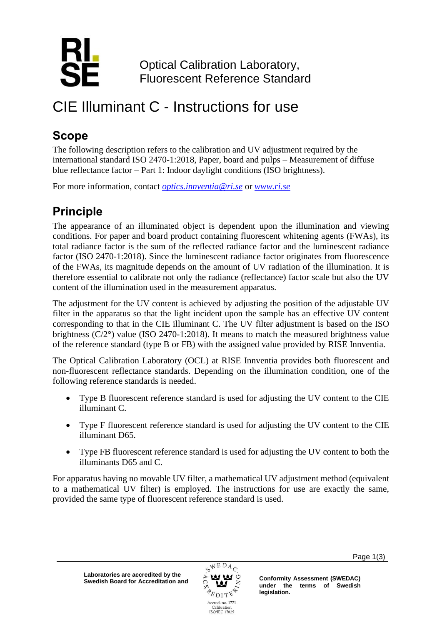

Optical Calibration Laboratory, Fluorescent Reference Standard

# CIE Illuminant C - Instructions for use

### **Scope**

The following description refers to the calibration and UV adjustment required by the international standard ISO 2470-1:2018, Paper, board and pulps – Measurement of diffuse blue reflectance factor – Part 1: Indoor daylight conditions (ISO brightness).

For more information, contact *[optics.innventia@ri.se](mailto:optics.innventia@ri.se)* or *[www.ri.se](http://www.ri.se/)*

## **Principle**

The appearance of an illuminated object is dependent upon the illumination and viewing conditions. For paper and board product containing fluorescent whitening agents (FWAs), its total radiance factor is the sum of the reflected radiance factor and the luminescent radiance factor (ISO 2470-1:2018). Since the luminescent radiance factor originates from fluorescence of the FWAs, its magnitude depends on the amount of UV radiation of the illumination. It is therefore essential to calibrate not only the radiance (reflectance) factor scale but also the UV content of the illumination used in the measurement apparatus.

The adjustment for the UV content is achieved by adjusting the position of the adjustable UV filter in the apparatus so that the light incident upon the sample has an effective UV content corresponding to that in the CIE illuminant C. The UV filter adjustment is based on the ISO brightness (C/2°) value (ISO 2470-1:2018). It means to match the measured brightness value of the reference standard (type B or FB) with the assigned value provided by RISE Innventia.

The Optical Calibration Laboratory (OCL) at RISE Innventia provides both fluorescent and non-fluorescent reflectance standards. Depending on the illumination condition, one of the following reference standards is needed.

- Type B fluorescent reference standard is used for adjusting the UV content to the CIE illuminant C.
- Type F fluorescent reference standard is used for adjusting the UV content to the CIE illuminant D65.
- Type FB fluorescent reference standard is used for adjusting the UV content to both the illuminants D65 and C.

For apparatus having no movable UV filter, a mathematical UV adjustment method (equivalent to a mathematical UV filter) is employed. The instructions for use are exactly the same, provided the same type of fluorescent reference standard is used.



Page 1(3)

**under the terms of Swedish legislation.**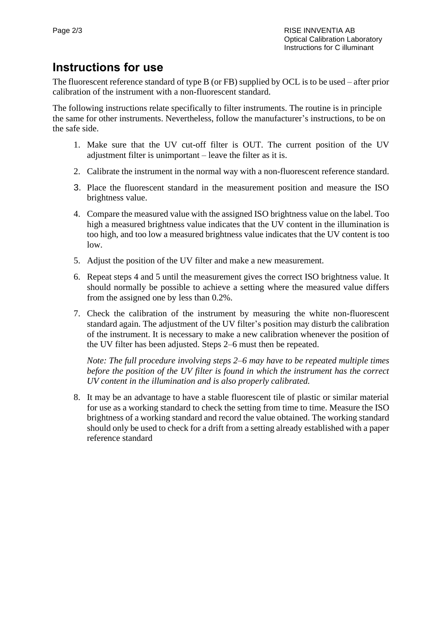#### **Instructions for use**

The fluorescent reference standard of type B (or FB) supplied by OCL is to be used – after prior calibration of the instrument with a non-fluorescent standard.

The following instructions relate specifically to filter instruments. The routine is in principle the same for other instruments. Nevertheless, follow the manufacturer's instructions, to be on the safe side.

- 1. Make sure that the UV cut-off filter is OUT. The current position of the UV adjustment filter is unimportant – leave the filter as it is.
- 2. Calibrate the instrument in the normal way with a non-fluorescent reference standard.
- 3. Place the fluorescent standard in the measurement position and measure the ISO brightness value.
- 4. Compare the measured value with the assigned ISO brightness value on the label. Too high a measured brightness value indicates that the UV content in the illumination is too high, and too low a measured brightness value indicates that the UV content is too low.
- 5. Adjust the position of the UV filter and make a new measurement.
- 6. Repeat steps 4 and 5 until the measurement gives the correct ISO brightness value. It should normally be possible to achieve a setting where the measured value differs from the assigned one by less than 0.2%.
- 7. Check the calibration of the instrument by measuring the white non-fluorescent standard again. The adjustment of the UV filter's position may disturb the calibration of the instrument. It is necessary to make a new calibration whenever the position of the UV filter has been adjusted. Steps 2–6 must then be repeated.

*Note: The full procedure involving steps 2–6 may have to be repeated multiple times before the position of the UV filter is found in which the instrument has the correct UV content in the illumination and is also properly calibrated.*

8. It may be an advantage to have a stable fluorescent tile of plastic or similar material for use as a working standard to check the setting from time to time. Measure the ISO brightness of a working standard and record the value obtained. The working standard should only be used to check for a drift from a setting already established with a paper reference standard